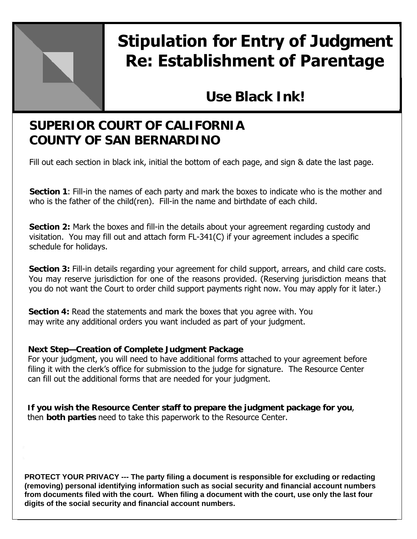

# **Stipulation for Entry of Judgment Re: Establishment of Parentage**

# **Use Black Ink!**

## **SUPERIOR COURT OF CALIFORNIA COUNTY OF SAN BERNARDINO**

Fill out each section in black ink, initial the bottom of each page, and sign & date the last page.

**Section 1**: Fill-in the names of each party and mark the boxes to indicate who is the mother and who is the father of the child(ren). Fill-in the name and birthdate of each child.

**Section 2:** Mark the boxes and fill-in the details about your agreement regarding custody and visitation. You may fill out and attach form FL-341(C) if your agreement includes a specific schedule for holidays.

**Section 3:** Fill-in details regarding your agreement for child support, arrears, and child care costs. You may reserve jurisdiction for one of the reasons provided. (Reserving jurisdiction means that you do not want the Court to order child support payments right now. You may apply for it later.)

**Section 4:** Read the statements and mark the boxes that you agree with. You may write any additional orders you want included as part of your judgment.

#### **Next Step—Creation of Complete Judgment Package**

For your judgment, you will need to have additional forms attached to your agreement before filing it with the clerk's office for submission to the judge for signature. The Resource Center can fill out the additional forms that are needed for your judgment.

**If you wish the Resource Center staff to prepare the judgment package for you**, then **both parties** need to take this paperwork to the Resource Center.

**PROTECT YOUR PRIVACY --- The party filing a document is responsible for excluding or redacting (removing) personal identifying information such as social security and financial account numbers from documents filed with the court. When filing a document with the court, use only the last four digits of the social security and financial account numbers.**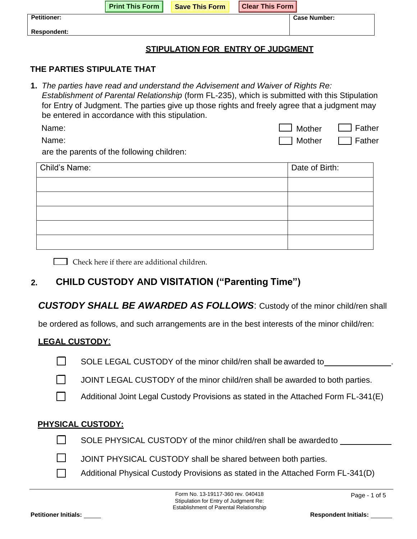|                                   | <b>Print This Form  </b> | <b>Save This Form</b> | <b>Clear This Form</b> |                     |
|-----------------------------------|--------------------------|-----------------------|------------------------|---------------------|
| <b>Petitioner:</b>                |                          |                       |                        | <b>Case Number:</b> |
| <b>Respondent:</b>                |                          |                       |                        |                     |
| STIPULATION FOR ENTRY OF JUDGMENT |                          |                       |                        |                     |

#### **THE PARTIES STIPULATE THAT**

**1.** *The parties have read and understand the Advisement and Waiver of Rights Re: Establishment of Parental Relationship* (form FL-235), which is submitted with this Stipulation for Entry of Judgment. The parties give up those rights and freely agree that a judgment may be entered in accordance with this stipulation.

| Name: | $\Box$ Mother | $\Box$ Father |
|-------|---------------|---------------|
| Name: | Mother        | $\Box$ Father |

are the parents of the following children:

| Child's Name: | Date of Birth: |
|---------------|----------------|
|               |                |
|               |                |
|               |                |
|               |                |
|               |                |

Check here if there are additional children.

### **2. CHILD CUSTODY AND VISITATION ("Parenting Time")**

#### *CUSTODY SHALL BE AWARDED AS FOLLOWS*: Custody of the minor child/ren shall

be ordered as follows, and such arrangements are in the best interests of the minor child/ren:

#### **LEGAL CUSTODY**:

- SOLE LEGAL CUSTODY of the minor child/ren shall be awarded to \_\_\_\_\_\_\_\_\_\_\_\_\_\_\_\_\_\_
- $\Box$ JOINT LEGAL CUSTODY of the minor child/ren shall be awarded to both parties.
- $\Box$ Additional Joint Legal Custody Provisions as stated in the Attached Form FL-341(E)

#### **PHYSICAL CUSTODY:**

- $\Box$
- SOLE PHYSICAL CUSTODY of the minor child/ren shall be awarded to
- $\Box$
- JOINT PHYSICAL CUSTODY shall be shared between both parties.
- Additional Physical Custody Provisions as stated in the Attached Form FL-341(D)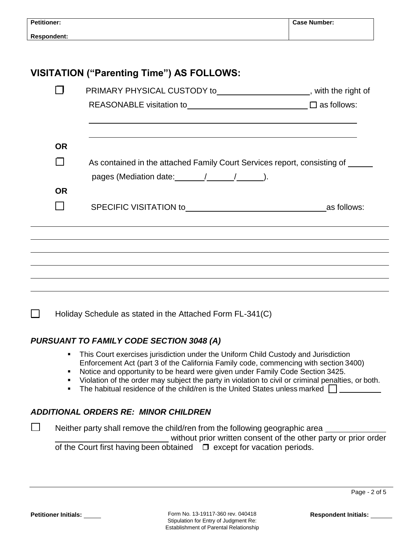| <b>Petitioner:</b> |                                                                                                                                                                                 | <b>Case Number:</b> |
|--------------------|---------------------------------------------------------------------------------------------------------------------------------------------------------------------------------|---------------------|
| <b>Respondent:</b> |                                                                                                                                                                                 |                     |
|                    |                                                                                                                                                                                 |                     |
|                    | VISITATION ("Parenting Time") AS FOLLOWS:                                                                                                                                       |                     |
|                    | PRIMARY PHYSICAL CUSTODY to_____________________, with the right of                                                                                                             |                     |
|                    |                                                                                                                                                                                 |                     |
| <b>OR</b>          |                                                                                                                                                                                 |                     |
|                    | As contained in the attached Family Court Services report, consisting of                                                                                                        |                     |
|                    | pages (Mediation date: $\frac{1}{2}$ / $\frac{1}{2}$ /                                                                                                                          |                     |
| <b>OR</b>          |                                                                                                                                                                                 |                     |
|                    |                                                                                                                                                                                 |                     |
|                    |                                                                                                                                                                                 |                     |
|                    |                                                                                                                                                                                 |                     |
|                    |                                                                                                                                                                                 |                     |
|                    |                                                                                                                                                                                 |                     |
|                    | $\Box$ Holiday Schedule as stated in the Attached Form FL-341(C)                                                                                                                |                     |
|                    | <b>PURSUANT TO FAMILY CODE SECTION 3048 (A)</b>                                                                                                                                 |                     |
|                    | This Court exercises jurisdiction under the Uniform Child Custody and Jurisdiction<br>٠<br>Enforcement Act (part 3 of the California Family code, commencing with section 3400) |                     |

- Notice and opportunity to be heard were given under Family Code Section 3425.
- **Violation of the order may subject the party in violation to civil or criminal penalties, or both.**
- The habitual residence of the child/ren is the United States unless marked  $\Box$

### *ADDITIONAL ORDERS RE: MINOR CHILDREN*

Neither party shall remove the child/ren from the following geographic area

without prior written consent of the other party or prior order of the Court first having been obtained  $\Box$  except for vacation periods.

П

Form No. 13-19117-360 rev. 040418 **Petitioner Initials: Respondent Initials:**  Stipulation for Entry of Judgment Re: Establishment of Parental Relationship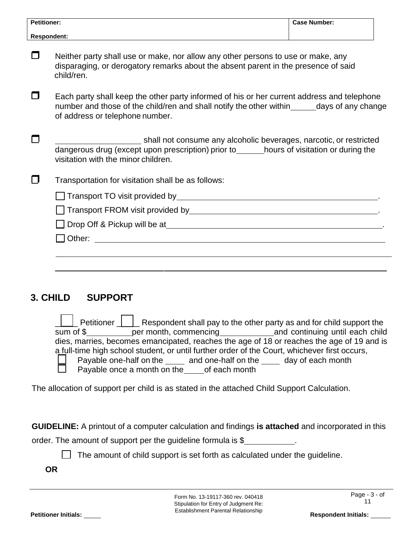| <b>Petitioner:</b> |                                                                                                                                                                                                                               | <b>Case Number:</b> |  |  |  |
|--------------------|-------------------------------------------------------------------------------------------------------------------------------------------------------------------------------------------------------------------------------|---------------------|--|--|--|
|                    | <b>Respondent:</b>                                                                                                                                                                                                            |                     |  |  |  |
|                    | Neither party shall use or make, nor allow any other persons to use or make, any<br>disparaging, or derogatory remarks about the absent parent in the presence of said<br>child/ren.                                          |                     |  |  |  |
|                    | Each party shall keep the other party informed of his or her current address and telephone<br>number and those of the child/ren and shall notify the other within_______days of any change<br>of address or telephone number. |                     |  |  |  |
|                    | shall not consume any alcoholic beverages, narcotic, or restricted<br>dangerous drug (except upon prescription) prior to_______hours of visitation or during the<br>visitation with the minor children.                       |                     |  |  |  |
|                    | Transportation for visitation shall be as follows:                                                                                                                                                                            |                     |  |  |  |
|                    |                                                                                                                                                                                                                               |                     |  |  |  |
|                    |                                                                                                                                                                                                                               |                     |  |  |  |
|                    | □ Drop Off & Pickup will be at Management and Management and Management and Management and Management and Management and Management and Management and Management and Management and Management and Management and Management |                     |  |  |  |
|                    |                                                                                                                                                                                                                               |                     |  |  |  |
|                    |                                                                                                                                                                                                                               |                     |  |  |  |
|                    |                                                                                                                                                                                                                               |                     |  |  |  |

#### **3. CHILD SUPPORT**

| sum of \$<br>dies, marries, becomes emancipated, reaches the age of 18 or reaches the age of 19 and is<br>a full-time high school student, or until further order of the Court, whichever first occurs,<br>Payable one-half on the ______ and one-half on the _____ day of each month |
|---------------------------------------------------------------------------------------------------------------------------------------------------------------------------------------------------------------------------------------------------------------------------------------|
|                                                                                                                                                                                                                                                                                       |
|                                                                                                                                                                                                                                                                                       |
|                                                                                                                                                                                                                                                                                       |
|                                                                                                                                                                                                                                                                                       |
| $\Box$ Payable once a month on the of each month                                                                                                                                                                                                                                      |

The allocation of support per child is as stated in the attached Child Support Calculation.

**GUIDELINE:** A printout of a computer calculation and findings **is attached** and incorporated in this

order. The amount of support per the guideline formula is \$

 $\Box$  The amount of child support is set forth as calculated under the guideline.

**OR**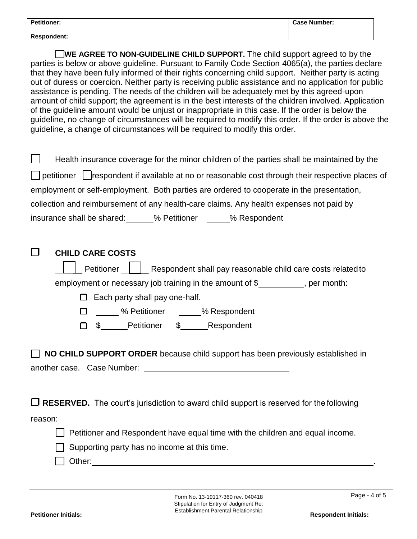| <b>Petitioner:</b> | <b>Case Number:</b> |
|--------------------|---------------------|
| <b>Respondent:</b> |                     |

WE AGREE TO NON-GUIDELINE CHILD SUPPORT. The child support agreed to by the parties is below or above guideline. Pursuant to Family Code Section 4065(a), the parties declare that they have been fully informed of their rights concerning child support. Neither party is acting out of duress or coercion. Neither party is receiving public assistance and no application for public assistance is pending. The needs of the children will be adequately met by this agreed-upon amount of child support; the agreement is in the best interests of the children involved. Application of the guideline amount would be unjust or inappropriate in this case. If the order is below the guideline, no change of circumstances will be required to modify this order. If the order is above the guideline, a change of circumstances will be required to modify this order.

| Health insurance coverage for the minor children of the parties shall be maintained by the<br>$\perp$        |
|--------------------------------------------------------------------------------------------------------------|
| $\Box$ petitioner $\Box$ respondent if available at no or reasonable cost through their respective places of |
| employment or self-employment. Both parties are ordered to cooperate in the presentation,                    |
| collection and reimbursement of any health-care claims. Any health expenses not paid by                      |
| insurance shall be shared: 4.1% Petitioner 4.5% Respondent                                                   |

|         | <b>CHILD CARE COSTS</b>                                                                                                                                                           |  |  |  |  |
|---------|-----------------------------------------------------------------------------------------------------------------------------------------------------------------------------------|--|--|--|--|
|         | Petitioner   Respondent shall pay reasonable child care costs related to                                                                                                          |  |  |  |  |
|         | employment or necessary job training in the amount of $\frac{1}{2}$ , per month:                                                                                                  |  |  |  |  |
|         | Each party shall pay one-half.                                                                                                                                                    |  |  |  |  |
|         | □ _____ % Petitioner ______% Respondent                                                                                                                                           |  |  |  |  |
|         | \$ Petitioner \$ Respondent<br>П                                                                                                                                                  |  |  |  |  |
|         | NO CHILD SUPPORT ORDER because child support has been previously established in<br>$\Box$ RESERVED. The court's jurisdiction to award child support is reserved for the following |  |  |  |  |
| reason: |                                                                                                                                                                                   |  |  |  |  |
|         | Petitioner and Respondent have equal time with the children and equal income.                                                                                                     |  |  |  |  |
|         | Supporting party has no income at this time.                                                                                                                                      |  |  |  |  |
|         | Other:                                                                                                                                                                            |  |  |  |  |
|         |                                                                                                                                                                                   |  |  |  |  |